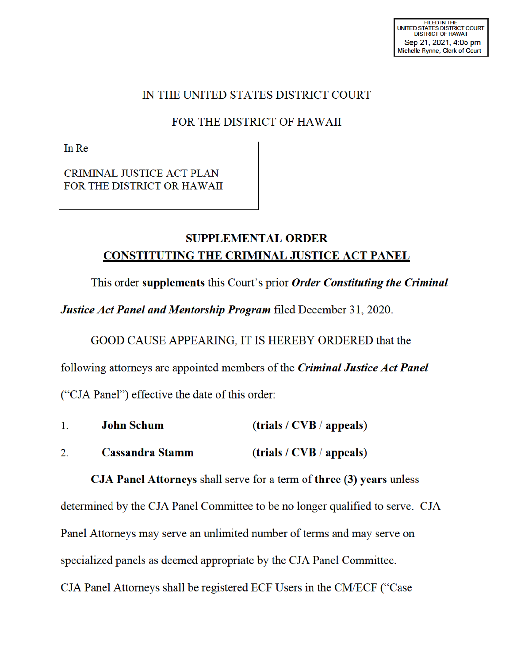## IN THE UNITED STATES DISTRICT COURT

## FOR THE DISTRICT OF HAWAII

In Re

CRIMINAL JUSTICE ACT PLAN FOR THE DISTRICT OR HAWAII

## **SUPPLEMENTAL ORDER CONSTITUTING THE CRIMINAL JUSTICE ACT PANEL**

This order **supplements** this Court's prior *Order Constituting the Criminal* 

*Justice Act Panel and Mentorship Program* filed December 31, 2020.

GOOD CAUSE APPEARING, IT IS HEREBY ORDERED that the

following attorneys are appointed members of the *Criminal Justice Act Panel* 

("CJA Panel") effective the date of this order:

| John Schum             | (trials / CVB / appeals) |
|------------------------|--------------------------|
| <b>Cassandra Stamm</b> | (trials / CVB / appeals) |

**CJA Panel Attorneys** shall serve for a term of **three (3) years** unless determined by the CJA Panel Committee to be no longer qualified to serve. CJA Panel Attorneys may serve an unlimited number of terms and may serve on specialized panels as deemed appropriate by the CJA Panel Committee. CJA Panel Attorneys shall be registered ECF Users in the CM/ECF ("Case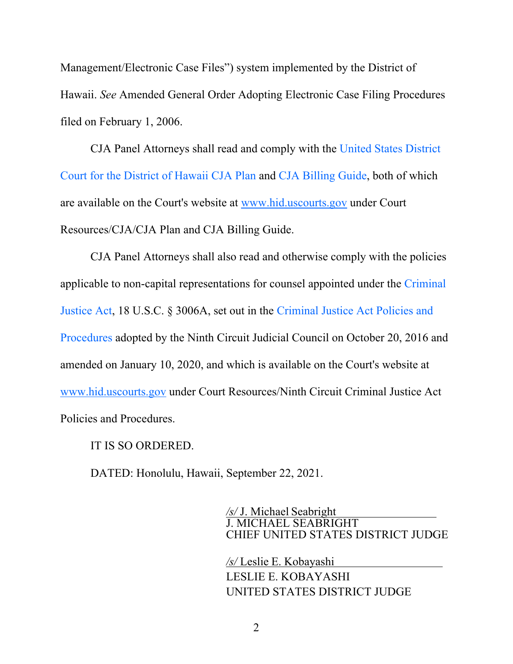Management/Electronic Case Files") system implemented by the District of Hawaii. *See* Amended General Order Adopting Electronic Case Filing Procedures filed on February 1, 2006.

 CJA Panel Attorneys shall read and comply with the United States District Court for the District of Hawaii CJA Plan and CJA Billing Guide, both of which are available on the Court's website at www.hid.uscourts.gov under Court Resources/CJA/CJA Plan and CJA Billing Guide.

 CJA Panel Attorneys shall also read and otherwise comply with the policies applicable to non-capital representations for counsel appointed under the Criminal Justice Act, 18 U.S.C. § 3006A, set out in the Criminal Justice Act Policies and Procedures adopted by the Ninth Circuit Judicial Council on October 20, 2016 and amended on January 10, 2020, and which is available on the Court's website at www.hid.uscourts.gov under Court Resources/Ninth Circuit Criminal Justice Act Policies and Procedures.

IT IS SO ORDERED.

DATED: Honolulu, Hawaii, September 22, 2021.

*/s/* J. Michael Seabright J. MICHAEL SEABRIGHT CHIEF UNITED STATES DISTRICT JUDGE

*/s/* Leslie E. Kobayashi LESLIE E. KOBAYASHI UNITED STATES DISTRICT JUDGE